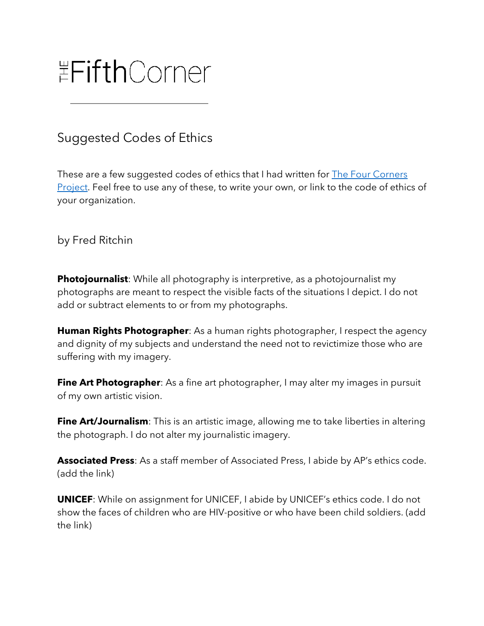## **EFifthCorner**

## Suggested Codes of Ethics

These are a few suggested codes of ethics that I had written for The Four Corners Project. Feel free to use any of these, to write your own, or link to the code of ethics of your organization.

## by Fred Ritchin

**Photojournalist**: While all photography is interpretive, as a photojournalist my photographs are meant to respect the visible facts of the situations I depict. I do not add or subtract elements to or from my photographs.

**Human Rights Photographer**: As a human rights photographer, I respect the agency and dignity of my subjects and understand the need not to revictimize those who are suffering with my imagery.

**Fine Art Photographer**: As a fine art photographer, I may alter my images in pursuit of my own artistic vision.

**Fine Art/Journalism**: This is an artistic image, allowing me to take liberties in altering the photograph. I do not alter my journalistic imagery.

**Associated Press**: As a staff member of Associated Press, I abide by AP's ethics code. (add the link)

**UNICEF**: While on assignment for UNICEF, I abide by UNICEF's ethics code. I do not show the faces of children who are HIV-positive or who have been child soldiers. (add the link)